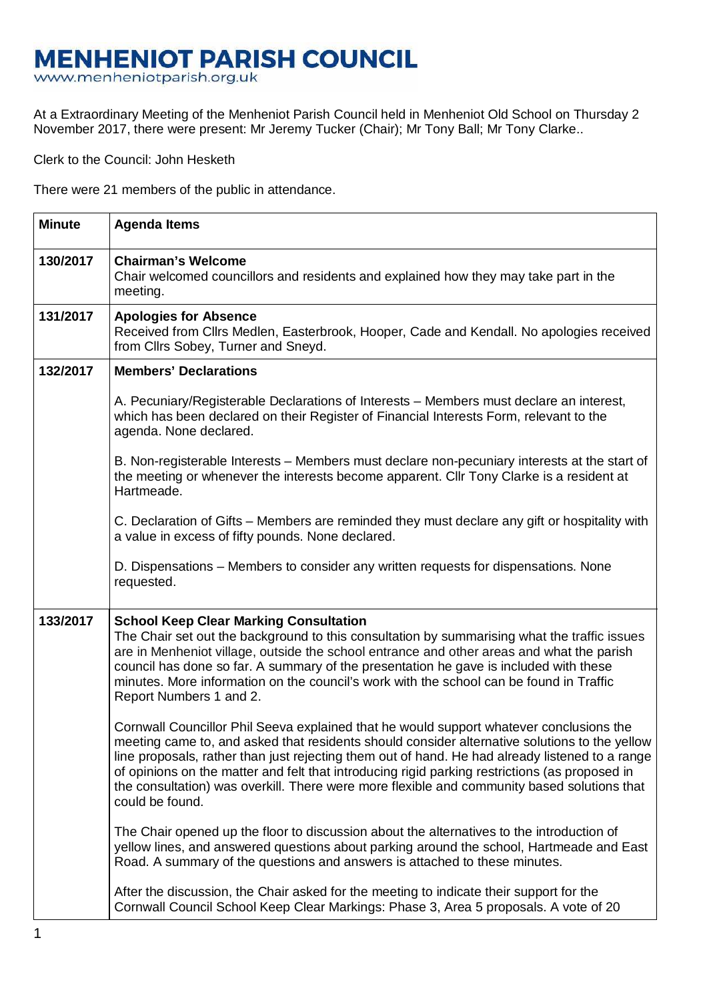## **MENHENIOT PARISH COUNCIL**

www.menheniotparish.org.uk

At a Extraordinary Meeting of the Menheniot Parish Council held in Menheniot Old School on Thursday 2 November 2017, there were present: Mr Jeremy Tucker (Chair); Mr Tony Ball; Mr Tony Clarke..

Clerk to the Council: John Hesketh

There were 21 members of the public in attendance.

| <b>Minute</b> | <b>Agenda Items</b>                                                                                                                                                                                                                                                                                                                                                                                                                                                                                             |
|---------------|-----------------------------------------------------------------------------------------------------------------------------------------------------------------------------------------------------------------------------------------------------------------------------------------------------------------------------------------------------------------------------------------------------------------------------------------------------------------------------------------------------------------|
| 130/2017      | <b>Chairman's Welcome</b><br>Chair welcomed councillors and residents and explained how they may take part in the<br>meeting.                                                                                                                                                                                                                                                                                                                                                                                   |
| 131/2017      | <b>Apologies for Absence</b><br>Received from Cllrs Medlen, Easterbrook, Hooper, Cade and Kendall. No apologies received<br>from Cllrs Sobey, Turner and Sneyd.                                                                                                                                                                                                                                                                                                                                                 |
| 132/2017      | <b>Members' Declarations</b>                                                                                                                                                                                                                                                                                                                                                                                                                                                                                    |
|               | A. Pecuniary/Registerable Declarations of Interests – Members must declare an interest,<br>which has been declared on their Register of Financial Interests Form, relevant to the<br>agenda. None declared.                                                                                                                                                                                                                                                                                                     |
|               | B. Non-registerable Interests – Members must declare non-pecuniary interests at the start of<br>the meeting or whenever the interests become apparent. Cllr Tony Clarke is a resident at<br>Hartmeade.                                                                                                                                                                                                                                                                                                          |
|               | C. Declaration of Gifts – Members are reminded they must declare any gift or hospitality with<br>a value in excess of fifty pounds. None declared.                                                                                                                                                                                                                                                                                                                                                              |
|               | D. Dispensations – Members to consider any written requests for dispensations. None<br>requested.                                                                                                                                                                                                                                                                                                                                                                                                               |
| 133/2017      | <b>School Keep Clear Marking Consultation</b><br>The Chair set out the background to this consultation by summarising what the traffic issues<br>are in Menheniot village, outside the school entrance and other areas and what the parish<br>council has done so far. A summary of the presentation he gave is included with these<br>minutes. More information on the council's work with the school can be found in Traffic<br>Report Numbers 1 and 2.                                                       |
|               | Cornwall Councillor Phil Seeva explained that he would support whatever conclusions the<br>meeting came to, and asked that residents should consider alternative solutions to the yellow<br>line proposals, rather than just rejecting them out of hand. He had already listened to a range<br>of opinions on the matter and felt that introducing rigid parking restrictions (as proposed in<br>the consultation) was overkill. There were more flexible and community based solutions that<br>could be found. |
|               | The Chair opened up the floor to discussion about the alternatives to the introduction of<br>yellow lines, and answered questions about parking around the school, Hartmeade and East<br>Road. A summary of the questions and answers is attached to these minutes.                                                                                                                                                                                                                                             |
|               | After the discussion, the Chair asked for the meeting to indicate their support for the<br>Cornwall Council School Keep Clear Markings: Phase 3, Area 5 proposals. A vote of 20                                                                                                                                                                                                                                                                                                                                 |